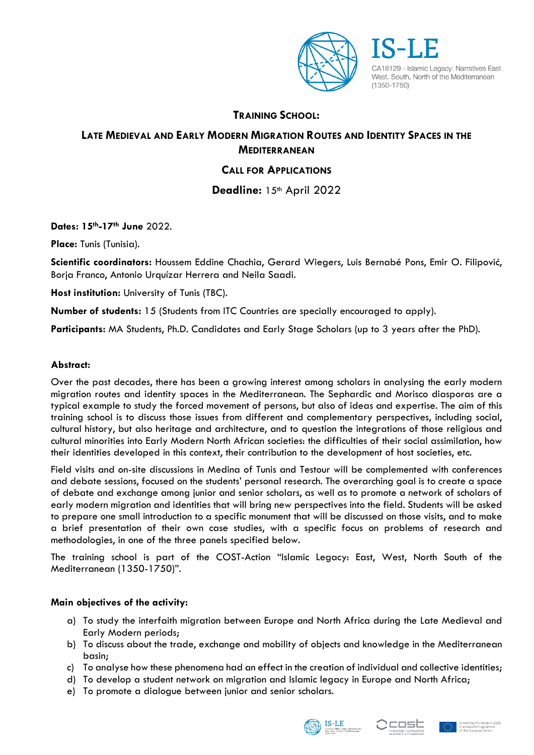

CA18129 - Islamic Legacy: Narratives East, West. South. North of the Mediterranean  $(1350 - 1750)$ 

## **TRAINING SCHOOL:**

# **LATE MEDIEVAL AND EARLY MODERN MIGRATION ROUTES AND IDENTITY SPACES IN THE MEDITERRANEAN**

## **CALL FOR APPLICATIONS**

**Deadline:** 15th April 2022

**Dates: 15th-17th June** 2022.

**Place:** Tunis (Tunisia).

**Scientific coordinators:** Houssem Eddine Chachia, Gerard Wiegers, Luis Bernabé Pons, Emir O. Filipović, Borja Franco, Antonio Urquízar Herrera and Neila Saadi.

**Host institution:** University of Tunis (TBC).

**Number of students:** 15 (Students from ITC Countries are specially encouraged to apply).

**Participants:** MA Students, Ph.D. Candidates and Early Stage Scholars (up to 3 years after the PhD).

## **Abstract:**

Over the past decades, there has been a growing interest among scholars in analysing the early modern migration routes and identity spaces in the Mediterranean. The Sephardic and Morisco diasporas are a typical example to study the forced movement of persons, but also of ideas and expertise. The aim of this training school is to discuss those issues from different and complementary perspectives, including social, cultural history, but also heritage and architecture, and to question the integrations of those religious and cultural minorities into Early Modern North African societies: the difficulties of their social assimilation, how their identities developed in this context, their contribution to the development of host societies, etc.

Field visits and on-site discussions in Medina of Tunis and Testour will be complemented with conferences and debate sessions, focused on the students' personal research. The overarching goal is to create a space of debate and exchange among junior and senior scholars, as well as to promote a network of scholars of early modern migration and identities that will bring new perspectives into the field. Students will be asked to prepare one small introduction to a specific monument that will be discussed on those visits, and to make a brief presentation of their own case studies, with a specific focus on problems of research and methodologies, in one of the three panels specified below.

The training school is part of the COST-Action "Islamic Legacy: East, West, North South of the Mediterranean (1350-1750)".

## **Main objectives of the activity:**

- a) To study the interfaith migration between Europe and North Africa during the Late Medieval and Early Modern periods;
- b) To discuss about the trade, exchange and mobility of objects and knowledge in the Mediterranean basin;
- c) To analyse how these phenomena had an effect in the creation of individual and collective identities;
- d) To develop a student network on migration and Islamic legacy in Europe and North Africa;
- e) To promote a dialogue between junior and senior scholars.





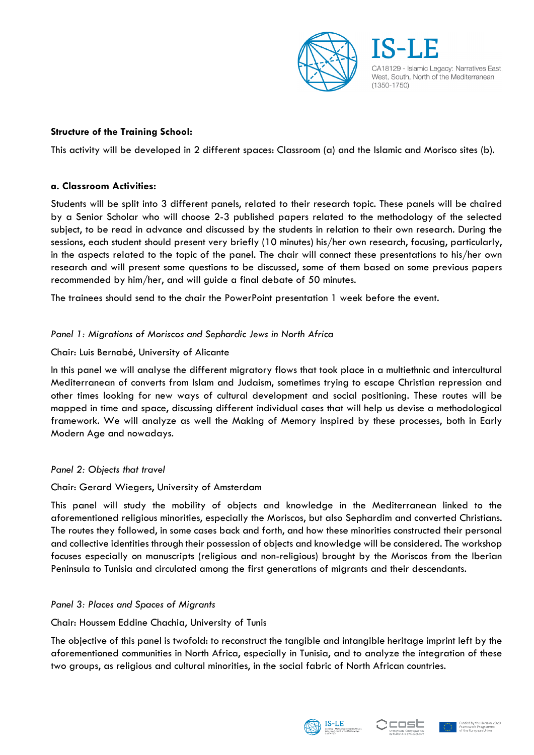

## **Structure of the Training School:**

This activity will be developed in 2 different spaces: Classroom (a) and the Islamic and Morisco sites (b).

#### **a. Classroom Activities:**

Students will be split into 3 different panels, related to their research topic. These panels will be chaired by a Senior Scholar who will choose 2-3 published papers related to the methodology of the selected subject, to be read in advance and discussed by the students in relation to their own research. During the sessions, each student should present very briefly (10 minutes) his/her own research, focusing, particularly, in the aspects related to the topic of the panel. The chair will connect these presentations to his/her own research and will present some questions to be discussed, some of them based on some previous papers recommended by him/her, and will guide a final debate of 50 minutes.

The trainees should send to the chair the PowerPoint presentation 1 week before the event.

#### *Panel 1: Migrations of Moriscos and Sephardic Jews in North Africa*

#### Chair: Luis Bernabé, University of Alicante

In this panel we will analyse the different migratory flows that took place in a multiethnic and intercultural Mediterranean of converts from Islam and Judaism, sometimes trying to escape Christian repression and other times looking for new ways of cultural development and social positioning. These routes will be mapped in time and space, discussing different individual cases that will help us devise a methodological framework. We will analyze as well the Making of Memory inspired by these processes, both in Early Modern Age and nowadays.

#### *Panel 2: Objects that travel*

#### Chair: Gerard Wiegers, University of Amsterdam

This panel will study the mobility of objects and knowledge in the Mediterranean linked to the aforementioned religious minorities, especially the Moriscos, but also Sephardim and converted Christians. The routes they followed, in some cases back and forth, and how these minorities constructed their personal and collective identities through their possession of objects and knowledge will be considered. The workshop focuses especially on manuscripts (religious and non-religious) brought by the Moriscos from the Iberian Peninsula to Tunisia and circulated among the first generations of migrants and their descendants.

#### *Panel 3: Places and Spaces of Migrants*

#### Chair: Houssem Eddine Chachia, University of Tunis

The objective of this panel is twofold: to reconstruct the tangible and intangible heritage imprint left by the aforementioned communities in North Africa, especially in Tunisia, and to analyze the integration of these two groups, as religious and cultural minorities, in the social fabric of North African countries.